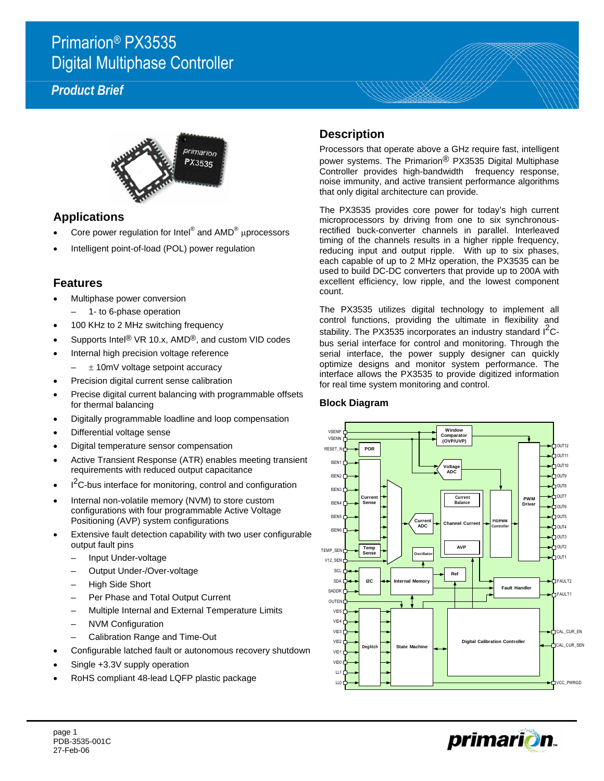## Primarion® PX3535 Digital Multiphase Controller

### *Product Brief*



#### **Applications**

- Core power regulation for Intel® and  $\mathsf{AMD}^{\circledast}$  µprocessors
- Intelligent point-of-load (POL) power regulation

#### **Features**

- Multiphase power conversion
	- 1- to 6-phase operation
- 100 KHz to 2 MHz switching frequency
- Supports Intel<sup>®</sup> VR 10.x, AMD<sup>®</sup>, and custom VID codes
- Internal high precision voltage reference
	- $\pm$  10mV voltage setpoint accuracy
- Precision digital current sense calibration
- Precise digital current balancing with programmable offsets for thermal balancing
- Digitally programmable loadline and loop compensation
- Differential voltage sense
- Digital temperature sensor compensation
- Active Transient Response (ATR) enables meeting transient requirements with reduced output capacitance
- $\cdot$   $1^2$ C-bus interface for monitoring, control and configuration
- Internal non-volatile memory (NVM) to store custom configurations with four programmable Active Voltage Positioning (AVP) system configurations
- Extensive fault detection capability with two user configurable output fault pins
	- Input Under-voltage
	- Output Under-/Over-voltage
	- High Side Short
	- Per Phase and Total Output Current
	- Multiple Internal and External Temperature Limits
	- NVM Configuration
	- Calibration Range and Time-Out
- Configurable latched fault or autonomous recovery shutdown
- Single +3.3V supply operation
- RoHS compliant 48-lead LQFP plastic package

#### **Description**

Processors that operate above a GHz require fast, intelligent power systems. The Primarion® PX3535 Digital Multiphase Controller provides high-bandwidth frequency response, noise immunity, and active transient performance algorithms that only digital architecture can provide.

The PX3535 provides core power for today's high current microprocessors by driving from one to six synchronousrectified buck-converter channels in parallel. Interleaved timing of the channels results in a higher ripple frequency, reducing input and output ripple. With up to six phases, each capable of up to 2 MHz operation, the PX3535 can be used to build DC-DC converters that provide up to 200A with excellent efficiency, low ripple, and the lowest component count.

The PX3535 utilizes digital technology to implement all control functions, providing the ultimate in flexibility and stability. The PX3535 incorporates an industry standard  $I<sup>2</sup>C$ bus serial interface for control and monitoring. Through the serial interface, the power supply designer can quickly optimize designs and monitor system performance. The interface allows the PX3535 to provide digitized information for real time system monitoring and control.



#### **Block Diagram**